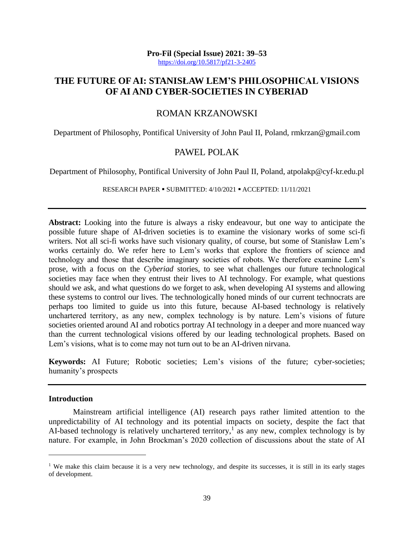# **THE FUTURE OF AI: STANISŁAW LEM'S PHILOSOPHICAL VISIONS OF AI AND CYBER-SOCIETIES IN CYBERIAD**

### ROMAN KRZANOWSKI

Department of Philosophy, Pontifical University of John Paul II, Poland, rmkrzan@gmail.com

## PAWEL POLAK

Department of Philosophy, Pontifical University of John Paul II, Poland, atpolakp@cyf-kr.edu.pl

RESEARCH PAPER ▪ SUBMITTED: 4/10/2021 ▪ ACCEPTED: 11/11/2021

**Abstract:** Looking into the future is always a risky endeavour, but one way to anticipate the possible future shape of AI-driven societies is to examine the visionary works of some sci-fi writers. Not all sci-fi works have such visionary quality, of course, but some of Stanisław Lem's works certainly do. We refer here to Lem's works that explore the frontiers of science and technology and those that describe imaginary societies of robots. We therefore examine Lem's prose, with a focus on the *Cyberiad* stories, to see what challenges our future technological societies may face when they entrust their lives to AI technology. For example, what questions should we ask, and what questions do we forget to ask, when developing AI systems and allowing these systems to control our lives. The technologically honed minds of our current technocrats are perhaps too limited to guide us into this future, because AI-based technology is relatively unchartered territory, as any new, complex technology is by nature. Lem's visions of future societies oriented around AI and robotics portray AI technology in a deeper and more nuanced way than the current technological visions offered by our leading technological prophets. Based on Lem's visions, what is to come may not turn out to be an AI-driven nirvana.

**Keywords:** AI Future; Robotic societies; Lem's visions of the future; cyber-societies; humanity's prospects

#### **Introduction**

Mainstream artificial intelligence (AI) research pays rather limited attention to the unpredictability of AI technology and its potential impacts on society, despite the fact that AI-based technology is relatively unchartered territory,<sup>1</sup> as any new, complex technology is by nature. For example, in John Brockman's 2020 collection of discussions about the state of AI

<sup>&</sup>lt;sup>1</sup> We make this claim because it is a very new technology, and despite its successes, it is still in its early stages of development.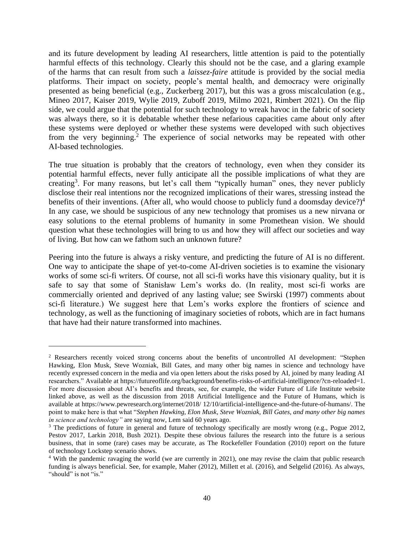and its future development by leading AI researchers, little attention is paid to the potentially harmful effects of this technology. Clearly this should not be the case, and a glaring example of the harms that can result from such a *laissez-faire* attitude is provided by the social media platforms. Their impact on society, people's mental health, and democracy were originally presented as being beneficial (e.g., Zuckerberg 2017), but this was a gross miscalculation (e.g., Mineo 2017, Kaiser 2019, Wylie 2019, Zuboff 2019, Milmo 2021, Rimbert 2021). On the flip side, we could argue that the potential for such technology to wreak havoc in the fabric of society was always there, so it is debatable whether these nefarious capacities came about only after these systems were deployed or whether these systems were developed with such objectives from the very beginning.<sup>2</sup> The experience of social networks may be repeated with other AI-based technologies.

The true situation is probably that the creators of technology, even when they consider its potential harmful effects, never fully anticipate all the possible implications of what they are creating<sup>3</sup>. For many reasons, but let's call them "typically human" ones, they never publicly disclose their real intentions nor the recognized implications of their wares, stressing instead the benefits of their inventions. (After all, who would choose to publicly fund a doomsday device?)<sup>4</sup> In any case, we should be suspicious of any new technology that promises us a new nirvana or easy solutions to the eternal problems of humanity in some Promethean vision. We should question what these technologies will bring to us and how they will affect our societies and way of living. But how can we fathom such an unknown future?

Peering into the future is always a risky venture, and predicting the future of AI is no different. One way to anticipate the shape of yet-to-come AI-driven societies is to examine the visionary works of some sci-fi writers. Of course, not all sci-fi works have this visionary quality, but it is safe to say that some of Stanisław Lem's works do. (In reality, most sci-fi works are commercially oriented and deprived of any lasting value; see Swirski (1997) comments about sci-fi literature.) We suggest here that Lem's works explore the frontiers of science and technology, as well as the functioning of imaginary societies of robots, which are in fact humans that have had their nature transformed into machines.

<sup>2</sup> Researchers recently voiced strong concerns about the benefits of uncontrolled AI development: "Stephen Hawking, Elon Musk, Steve Wozniak, Bill Gates, and many other big names in science and technology have recently expressed concern in the media and via open letters about the risks posed by AI, joined by many leading AI researchers." Available at [https://futureoflife.org/background/benefits-risks-of-artificial-intelligence/?cn-reloaded=1.](https://futureoflife.org/background/benefits-risks-of-artificial-intelligence/?cn-reloaded=1) For more discussion about AI's benefits and threats, see, for example, the wider Future of Life Institute website linked above, as well as the discussion from 2018 Artificial Intelligence and the Future of Humans, which is available at https://www.pewresearch.org/internet/2018/ [12/10/artificial-intelligence-and-the-future-of-humans/.](https://www.pewresearch.org/internet/2018/%2012/10/artificial-intelligence-and-the-future-of-humans/) The point to make here is that what "*Stephen Hawking, Elon Musk, Steve Wozniak, Bill Gates, and many other big names in science and technology"* are saying now, Lem said 60 years ago.

<sup>&</sup>lt;sup>3</sup> The predictions of future in general and future of technology specifically are mostly wrong (e.g., Pogue 2012, Pestov 2017, Larkin 2018, Bush 2021). Despite these obvious failures the research into the future is a serious business, that in some (rare) cases may be accurate, as The Rockefeller Foundation (2010) report on the future of technology Lockstep scenario shows.

<sup>4</sup> With the pandemic ravaging the world (we are currently in 2021), one may revise the claim that public research funding is always beneficial. See, for example, Maher (2012), Millett et al. (2016), and Selgelid (2016). As always, "should" is not "is."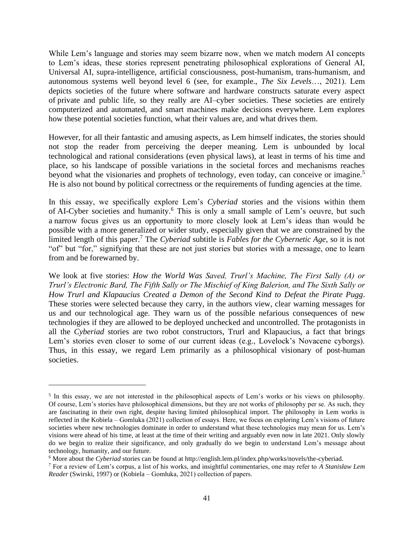While Lem's language and stories may seem bizarre now, when we match modern AI concepts to Lem's ideas, these stories represent penetrating philosophical explorations of General AI, Universal AI, supra-intelligence, artificial consciousness, post-humanism, trans-humanism, and autonomous systems well beyond level 6 (see, for example., *The Six Levels*…, 2021). Lem depicts societies of the future where software and hardware constructs saturate every aspect of private and public life, so they really are AI–cyber societies. These societies are entirely computerized and automated, and smart machines make decisions everywhere. Lem explores how these potential societies function, what their values are, and what drives them.

However, for all their fantastic and amusing aspects, as Lem himself indicates, the stories should not stop the reader from perceiving the deeper meaning. Lem is unbounded by local technological and rational considerations (even physical laws), at least in terms of his time and place, so his landscape of possible variations in the societal forces and mechanisms reaches beyond what the visionaries and prophets of technology, even today, can conceive or imagine.<sup>5</sup> He is also not bound by political correctness or the requirements of funding agencies at the time.

In this essay, we specifically explore Lem's *Cyberiad* stories and the visions within them of AI-Cyber societies and humanity.<sup>6</sup> This is only a small sample of Lem's oeuvre, but such a narrow focus gives us an opportunity to more closely look at Lem's ideas than would be possible with a more generalized or wider study, especially given that we are constrained by the limited length of this paper.<sup>7</sup> The *Cyberiad* subtitle is *Fables for the Cybernetic Age*, so it is not "of" but "for," signifying that these are not just stories but stories with a message, one to learn from and be forewarned by.

We look at five stories: *How the World Was Saved, Trurl's Machine, The First Sally (A) or Trurl's Electronic Bard, The Fifth Sally or The Mischief of King Balerion, and The Sixth Sally or How Trurl and Klapaucius Created a Demon of the Second Kind to Defeat the Pirate Pugg*. These stories were selected because they carry, in the authors view, clear warning messages for us and our technological age. They warn us of the possible nefarious consequences of new technologies if they are allowed to be deployed unchecked and uncontrolled. The protagonists in all the *Cyberiad* stories are two robot constructors, Trurl and Klapaucius, a fact that brings Lem's stories even closer to some of our current ideas (e.g., Lovelock's Novacene cyborgs). Thus, in this essay, we regard Lem primarily as a philosophical visionary of post-human societies.

<sup>&</sup>lt;sup>5</sup> In this essay, we are not interested in the philosophical aspects of Lem's works or his views on philosophy. Of course, Lem's stories have philosophical dimensions, but they are not works of philosophy per se. As such, they are fascinating in their own right, despite having limited philosophical import. The philosophy in Lem works is reflected in the Kobiela – Gomluka (2021) collection of essays. Here, we focus on exploring Lem's visions of future societies where new technologies dominate in order to understand what these technologies may mean for us. Lem's visions were ahead of his time, at least at the time of their writing and arguably even now in late 2021. Only slowly do we begin to realize their significance, and only gradually do we begin to understand Lem's message about technology, humanity, and our future.

<sup>&</sup>lt;sup>6</sup> More about the *Cyberiad* stories can be found a[t http://english.lem.pl/index.php/works/novels/the-cyberiad.](http://english.lem.pl/index.php/works/novels/the-cyberiad)

<sup>7</sup> For a review of Lem's corpus, a list of his works, and insightful commentaries, one may refer to *A Stanisław Lem Reader* (Swirski, 1997) or (Kobiela – Gomłuka, 2021) collection of papers.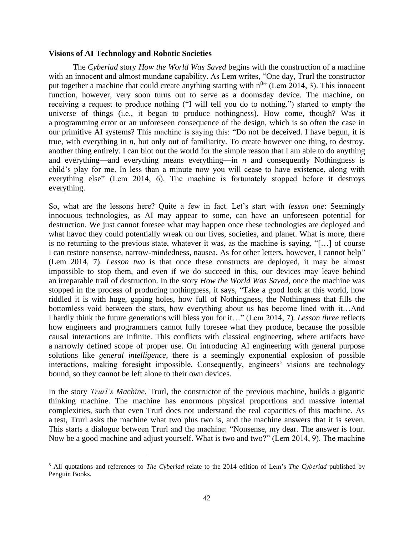#### **Visions of AI Technology and Robotic Societies**

The *Cyberiad* story *How the World Was Saved* begins with the construction of a machine with an innocent and almost mundane capability. As Lem writes, "One day, Trurl the constructor put together a machine that could create anything starting with  $n^{8}$ . (Lem 2014, 3). This innocent function, however, very soon turns out to serve as a doomsday device. The machine, on receiving a request to produce nothing ("I will tell you do to nothing.") started to empty the universe of things (i.e., it began to produce nothingness). How come, though? Was it a programming error or an unforeseen consequence of the design, which is so often the case in our primitive AI systems? This machine is saying this: "Do not be deceived. I have begun, it is true, with everything in *n*, but only out of familiarity. To create however one thing, to destroy, another thing entirely. I can blot out the world for the simple reason that I am able to do anything and everything—and everything means everything—in *n* and consequently Nothingness is child's play for me. In less than a minute now you will cease to have existence, along with everything else" (Lem 2014, 6). The machine is fortunately stopped before it destroys everything.

So, what are the lessons here? Quite a few in fact. Let's start with *lesson one*: Seemingly innocuous technologies, as AI may appear to some, can have an unforeseen potential for destruction. We just cannot foresee what may happen once these technologies are deployed and what havoc they could potentially wreak on our lives, societies, and planet. What is more, there is no returning to the previous state, whatever it was, as the machine is saying, "[…] of course I can restore nonsense, narrow-mindedness, nausea. As for other letters, however, I cannot help" (Lem 2014, 7). *Lesson two* is that once these constructs are deployed, it may be almost impossible to stop them, and even if we do succeed in this, our devices may leave behind an irreparable trail of destruction. In the story *How the World Was Saved,* once the machine was stopped in the process of producing nothingness, it says, "Take a good look at this world, how riddled it is with huge, gaping holes, how full of Nothingness, the Nothingness that fills the bottomless void between the stars, how everything about us has become lined with it…And I hardly think the future generations will bless you for it…" (Lem 2014, 7)*. Lesson three* reflects how engineers and programmers cannot fully foresee what they produce, because the possible causal interactions are infinite. This conflicts with classical engineering, where artifacts have a narrowly defined scope of proper use. On introducing AI engineering with general purpose solutions like *general intelligence*, there is a seemingly exponential explosion of possible interactions, making foresight impossible. Consequently, engineers' visions are technology bound, so they cannot be left alone to their own devices.

In the story *Trurl's Machine*, Trurl, the constructor of the previous machine, builds a gigantic thinking machine. The machine has enormous physical proportions and massive internal complexities, such that even Trurl does not understand the real capacities of this machine. As a test, Trurl asks the machine what two plus two is, and the machine answers that it is seven. This starts a dialogue between Trurl and the machine: "Nonsense, my dear. The answer is four. Now be a good machine and adjust yourself. What is two and two?" (Lem 2014, 9). The machine

<sup>8</sup> All quotations and references to *The Cyberiad* relate to the 2014 edition of Lem's *The Cyberiad* published by Penguin Books.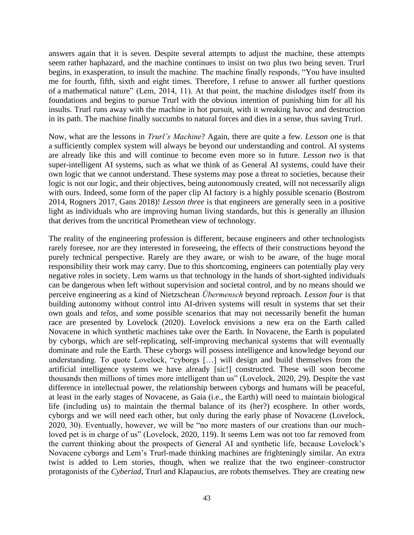answers again that it is seven. Despite several attempts to adjust the machine, these attempts seem rather haphazard, and the machine continues to insist on two plus two being seven. Trurl begins, in exasperation, to insult the machine. The machine finally responds, "You have insulted me for fourth, fifth, sixth and eight times. Therefore, I refuse to answer all further questions of a mathematical nature" (Lem, 2014, 11). At that point, the machine dislodges itself from its foundations and begins to pursue Trurl with the obvious intention of punishing him for all his insults. Trurl runs away with the machine in hot pursuit, with it wreaking havoc and destruction in its path. The machine finally succumbs to natural forces and dies in a sense, thus saving Trurl.

Now, what are the lessons in *Trurl's Machine*? Again, there are quite a few. *Lesson one* is that a sufficiently complex system will always be beyond our understanding and control. AI systems are already like this and will continue to become even more so in future. *Lesson two* is that super-intelligent AI systems, such as what we think of as General AI systems, could have their own logic that we cannot understand. These systems may pose a threat to societies, because their logic is not our logic, and their objectives, being autonomously created, will not necessarily align with ours. Indeed, some form of the paper clip AI factory is a highly possible scenario (Bostrom 2014, Rogners 2017, Gans 2018)! *Lesson three* is that engineers are generally seen in a positive light as individuals who are improving human living standards, but this is generally an illusion that derives from the uncritical Promethean view of technology.

The reality of the engineering profession is different, because engineers and other technologists rarely foresee, nor are they interested in foreseeing, the effects of their constructions beyond the purely technical perspective. Rarely are they aware, or wish to be aware, of the huge moral responsibility their work may carry. Due to this shortcoming, engineers can potentially play very negative roles in society. Lem warns us that technology in the hands of short-sighted individuals can be dangerous when left without supervision and societal control, and by no means should we perceive engineering as a kind of Nietzschean *Übermensch* beyond reproach. *Lesson four* is that building autonomy without control into AI-driven systems will result in systems that set their own goals and *telos*, and some possible scenarios that may not necessarily benefit the human race are presented by Lovelock (2020). Lovelock envisions a new era on the Earth called Novacene in which synthetic machines take over the Earth. In Novacene, the Earth is populated by cyborgs, which are self-replicating, self-improving mechanical systems that will eventually dominate and rule the Earth. These cyborgs will possess intelligence and knowledge beyond our understanding. To quote Lovelock, "cyborgs […] will design and build themselves from the artificial intelligence systems we have already [sic!] constructed. These will soon become thousands then millions of times more intelligent than us" (Lovelock, 2020, 29). Despite the vast difference in intellectual power, the relationship between cyborgs and humans will be peaceful, at least in the early stages of Novacene, as Gaia (i.e., the Earth) will need to maintain biological life (including us) to maintain the thermal balance of its (her?) ecosphere. In other words, cyborgs and we will need each other, but only during the early phase of Novacene (Lovelock, 2020, 30). Eventually, however, we will be "no more masters of our creations than our muchloved pet is in charge of us" (Lovelock, 2020, 119). It seems Lem was not too far removed from the current thinking about the prospects of General AI and synthetic life, because Lovelock's Novacene cyborgs and Lem's Trurl-made thinking machines are frighteningly similar. An extra twist is added to Lem stories, though, when we realize that the two engineer–constructor protagonists of the *Cyberiad*, Trurl and Klapaucius, are robots themselves. They are creating new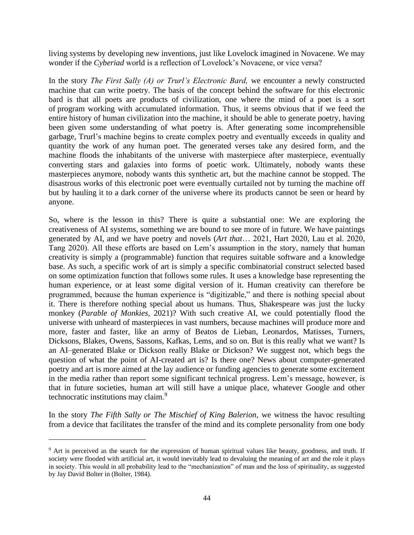living systems by developing new inventions, just like Lovelock imagined in Novacene. We may wonder if the *Cyberiad* world is a reflection of Lovelock's Novacene, or vice versa?

In the story *The First Sally (A) or Trurl's Electronic Bard,* we encounter a newly constructed machine that can write poetry. The basis of the concept behind the software for this electronic bard is that all poets are products of civilization, one where the mind of a poet is a sort of program working with accumulated information. Thus, it seems obvious that if we feed the entire history of human civilization into the machine, it should be able to generate poetry, having been given some understanding of what poetry is. After generating some incomprehensible garbage, Trurl's machine begins to create complex poetry and eventually exceeds in quality and quantity the work of any human poet. The generated verses take any desired form, and the machine floods the inhabitants of the universe with masterpiece after masterpiece, eventually converting stars and galaxies into forms of poetic work. Ultimately, nobody wants these masterpieces anymore, nobody wants this synthetic art, but the machine cannot be stopped. The disastrous works of this electronic poet were eventually curtailed not by turning the machine off but by hauling it to a dark corner of the universe where its products cannot be seen or heard by anyone.

So, where is the lesson in this? There is quite a substantial one: We are exploring the creativeness of AI systems, something we are bound to see more of in future. We have paintings generated by AI, and we have poetry and novels (*Art that*… 2021, Hart 2020, Lau et al. 2020, Tang 2020). All these efforts are based on Lem's assumption in the story, namely that human creativity is simply a (programmable) function that requires suitable software and a knowledge base. As such, a specific work of art is simply a specific combinatorial construct selected based on some optimization function that follows some rules. It uses a knowledge base representing the human experience, or at least some digital version of it. Human creativity can therefore be programmed, because the human experience is "digitizable," and there is nothing special about it. There is therefore nothing special about us humans. Thus, Shakespeare was just the lucky monkey (*Parable of Monkies*, 2021)? With such creative AI, we could potentially flood the universe with unheard of masterpieces in vast numbers, because machines will produce more and more, faster and faster, like an army of Beatos de Lieban, Leonardos, Matisses, Turners, Dicksons, Blakes, Owens, Sassons, Kafkas, Lems, and so on. But is this really what we want? Is an AI–generated Blake or Dickson really Blake or Dickson? We suggest not, which begs the question of what the point of AI-created art is? Is there one? News about computer-generated poetry and art is more aimed at the lay audience or funding agencies to generate some excitement in the media rather than report some significant technical progress. Lem's message, however, is that in future societies, human art will still have a unique place, whatever Google and other technocratic institutions may claim.<sup>9</sup>

In the story *The Fifth Sally or The Mischief of King Balerion,* we witness the havoc resulting from a device that facilitates the transfer of the mind and its complete personality from one body

<sup>&</sup>lt;sup>9</sup> Art is perceived as the search for the expression of human spiritual values like beauty, goodness, and truth. If society were flooded with artificial art, it would inevitably lead to devaluing the meaning of art and the role it plays in society. This would in all probability lead to the "mechanization" of man and the loss of spirituality, as suggested by Jay David Bolter in (Bolter, 1984).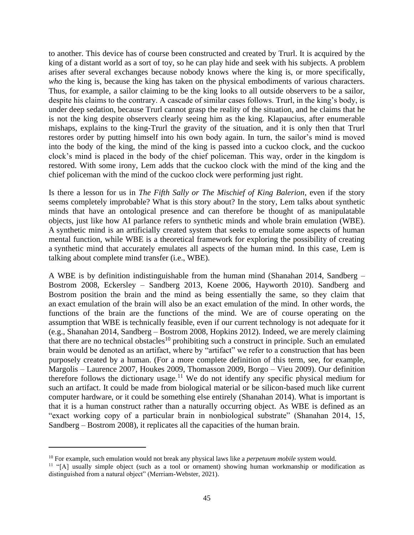to another. This device has of course been constructed and created by Trurl. It is acquired by the king of a distant world as a sort of toy, so he can play hide and seek with his subjects. A problem arises after several exchanges because nobody knows where the king is, or more specifically, *who* the king is, because the king has taken on the physical embodiments of various characters. Thus, for example, a sailor claiming to be the king looks to all outside observers to be a sailor, despite his claims to the contrary. A cascade of similar cases follows. Trurl, in the king's body, is under deep sedation, because Trurl cannot grasp the reality of the situation, and he claims that he is not the king despite observers clearly seeing him as the king. Klapaucius, after enumerable mishaps, explains to the king-Trurl the gravity of the situation, and it is only then that Trurl restores order by putting himself into his own body again. In turn, the sailor's mind is moved into the body of the king, the mind of the king is passed into a cuckoo clock, and the cuckoo clock's mind is placed in the body of the chief policeman. This way, order in the kingdom is restored. With some irony, Lem adds that the cuckoo clock with the mind of the king and the chief policeman with the mind of the cuckoo clock were performing just right.

Is there a lesson for us in *The Fifth Sally or The Mischief of King Balerion*, even if the story seems completely improbable? What is this story about? In the story, Lem talks about synthetic minds that have an ontological presence and can therefore be thought of as manipulatable objects, just like how AI parlance refers to synthetic minds and whole brain emulation (WBE). A synthetic mind is an artificially created system that seeks to emulate some aspects of human mental function, while WBE is a theoretical framework for exploring the possibility of creating a synthetic mind that accurately emulates all aspects of the human mind. In this case, Lem is talking about complete mind transfer (i.e., WBE).

A WBE is by definition indistinguishable from the human mind (Shanahan 2014, Sandberg – Bostrom 2008, Eckersley – Sandberg 2013, Koene 2006, Hayworth 2010). Sandberg and Bostrom position the brain and the mind as being essentially the same, so they claim that an exact emulation of the brain will also be an exact emulation of the mind. In other words, the functions of the brain are the functions of the mind. We are of course operating on the assumption that WBE is technically feasible, even if our current technology is not adequate for it (e.g., Shanahan 2014, Sandberg – Bostrom 2008, Hopkins 2012). Indeed, we are merely claiming that there are no technical obstacles<sup>10</sup> prohibiting such a construct in principle. Such an emulated brain would be denoted as an artifact, where by "artifact" we refer to a construction that has been purposely created by a human. (For a more complete definition of this term, see, for example, Margolis – Laurence 2007, Houkes 2009, Thomasson 2009, Borgo – Vieu 2009). Our definition therefore follows the dictionary usage.<sup>11</sup> We do not identify any specific physical medium for such an artifact. It could be made from biological material or be silicon-based much like current computer hardware, or it could be something else entirely (Shanahan 2014). What is important is that it is a human construct rather than a naturally occurring object. As WBE is defined as an "exact working copy of a particular brain in nonbiological substrate" (Shanahan 2014, 15, Sandberg – Bostrom 2008), it replicates all the capacities of the human brain.

<sup>&</sup>lt;sup>10</sup> For example, such emulation would not break any physical laws like a *perpetuum mobile* system would.

<sup>&</sup>lt;sup>11</sup> "[A] usually simple object (such as a tool or ornament) showing human workmanship or modification as distinguished from a natural object" (Merriam-Webster, 2021).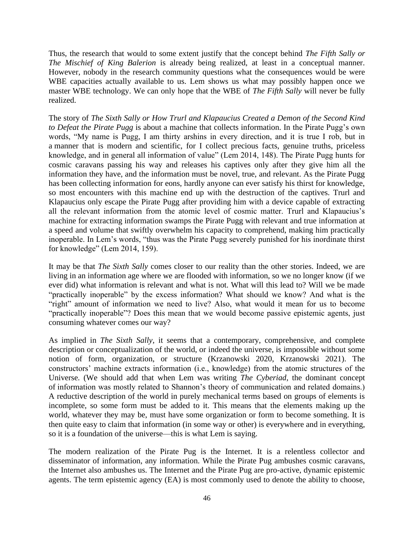Thus, the research that would to some extent justify that the concept behind *The Fifth Sally or The Mischief of King Balerion* is already being realized, at least in a conceptual manner. However, nobody in the research community questions what the consequences would be were WBE capacities actually available to us. Lem shows us what may possibly happen once we master WBE technology. We can only hope that the WBE of *The Fifth Sally* will never be fully realized.

The story of *The Sixth Sally or How Trurl and Klapaucius Created a Demon of the Second Kind to Defeat the Pirate Pugg* is about a machine that collects information. In the Pirate Pugg's own words, "My name is Pugg, I am thirty arshins in every direction, and it is true I rob, but in a manner that is modern and scientific, for I collect precious facts, genuine truths, priceless knowledge, and in general all information of value" (Lem 2014, 148). The Pirate Pugg hunts for cosmic caravans passing his way and releases his captives only after they give him all the information they have, and the information must be novel, true, and relevant. As the Pirate Pugg has been collecting information for eons, hardly anyone can ever satisfy his thirst for knowledge, so most encounters with this machine end up with the destruction of the captives. Trurl and Klapaucius only escape the Pirate Pugg after providing him with a device capable of extracting all the relevant information from the atomic level of cosmic matter. Trurl and Klapaucius's machine for extracting information swamps the Pirate Pugg with relevant and true information at a speed and volume that swiftly overwhelm his capacity to comprehend, making him practically inoperable. In Lem's words, "thus was the Pirate Pugg severely punished for his inordinate thirst for knowledge" (Lem 2014, 159).

It may be that *The Sixth Sally* comes closer to our reality than the other stories. Indeed, we are living in an information age where we are flooded with information, so we no longer know (if we ever did) what information is relevant and what is not. What will this lead to? Will we be made "practically inoperable" by the excess information? What should we know? And what is the "right" amount of information we need to live? Also, what would it mean for us to become "practically inoperable"? Does this mean that we would become passive epistemic agents, just consuming whatever comes our way?

As implied in *The Sixth Sally*, it seems that a contemporary, comprehensive, and complete description or conceptualization of the world, or indeed the universe, is impossible without some notion of form, organization, or structure (Krzanowski 2020, Krzanowski 2021). The constructors' machine extracts information (i.e., knowledge) from the atomic structures of the Universe. (We should add that when Lem was writing *The Cyberiad*, the dominant concept of information was mostly related to Shannon's theory of communication and related domains.) A reductive description of the world in purely mechanical terms based on groups of elements is incomplete, so some form must be added to it. This means that the elements making up the world, whatever they may be, must have some organization or form to become something. It is then quite easy to claim that information (in some way or other) is everywhere and in everything, so it is a foundation of the universe—this is what Lem is saying.

The modern realization of the Pirate Pug is the Internet. It is a relentless collector and disseminator of information, any information. While the Pirate Pug ambushes cosmic caravans, the Internet also ambushes us. The Internet and the Pirate Pug are pro-active, dynamic epistemic agents. The term epistemic agency (EA) is most commonly used to denote the ability to choose,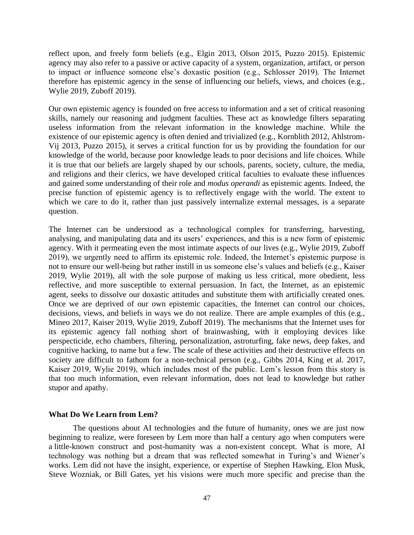reflect upon, and freely form beliefs (e.g., Elgin 2013, Olson 2015, Puzzo 2015). Epistemic agency may also refer to a passive or active capacity of a system, organization, artifact, or person to impact or influence someone else's doxastic position (e.g., Schlosser 2019). The Internet therefore has epistemic agency in the sense of influencing our beliefs, views, and choices (e.g., Wylie 2019, Zuboff 2019).

Our own epistemic agency is founded on free access to information and a set of critical reasoning skills, namely our reasoning and judgment faculties. These act as knowledge filters separating useless information from the relevant information in the knowledge machine. While the existence of our epistemic agency is often denied and trivialized (e.g., Kornblith 2012, Ahlstrom-Vij 2013, Puzzo 2015), it serves a critical function for us by providing the foundation for our knowledge of the world, because poor knowledge leads to poor decisions and life choices. While it is true that our beliefs are largely shaped by our schools, parents, society, culture, the media, and religions and their clerics, we have developed critical faculties to evaluate these influences and gained some understanding of their role and *modus operandi* as epistemic agents. Indeed, the precise function of epistemic agency is to reflectively engage with the world. The extent to which we care to do it, rather than just passively internalize external messages, is a separate question.

The Internet can be understood as a technological complex for transferring, harvesting, analysing, and manipulating data and its users' experiences, and this is a new form of epistemic agency. With it permeating even the most intimate aspects of our lives (e.g., Wylie 2019, Zuboff 2019), we urgently need to affirm its epistemic role. Indeed, the Internet's epistemic purpose is not to ensure our well-being but rather instill in us someone else's values and beliefs (e.g., Kaiser 2019, Wylie 2019), all with the sole purpose of making us less critical, more obedient, less reflective, and more susceptible to external persuasion. In fact, the Internet, as an epistemic agent, seeks to dissolve our doxastic attitudes and substitute them with artificially created ones. Once we are deprived of our own epistemic capacities, the Internet can control our choices, decisions, views, and beliefs in ways we do not realize. There are ample examples of this (e.g., Mineo 2017, Kaiser 2019, Wylie 2019, Zuboff 2019). The mechanisms that the Internet uses for its epistemic agency fall nothing short of brainwashing, with it employing devices like perspecticide, echo chambers, filtering, personalization, astroturfing, fake news, deep fakes, and cognitive hacking, to name but a few. The scale of these activities and their destructive effects on society are difficult to fathom for a non-technical person (e.g., Gibbs 2014, King et al. 2017, Kaiser 2019, Wylie 2019), which includes most of the public. Lem's lesson from this story is that too much information, even relevant information, does not lead to knowledge but rather stupor and apathy.

#### **What Do We Learn from Lem?**

The questions about AI technologies and the future of humanity, ones we are just now beginning to realize, were foreseen by Lem more than half a century ago when computers were a little-known construct and post-humanity was a non-existent concept. What is more, AI technology was nothing but a dream that was reflected somewhat in Turing's and Wiener's works. Lem did not have the insight, experience, or expertise of Stephen Hawking, Elon Musk, Steve Wozniak, or Bill Gates, yet his visions were much more specific and precise than the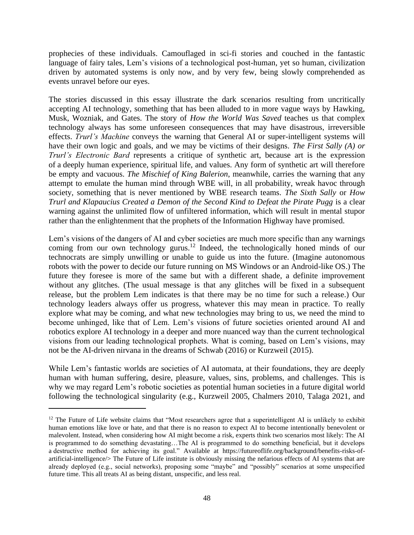prophecies of these individuals. Camouflaged in sci-fi stories and couched in the fantastic language of fairy tales, Lem's visions of a technological post-human, yet so human, civilization driven by automated systems is only now, and by very few, being slowly comprehended as events unravel before our eyes.

The stories discussed in this essay illustrate the dark scenarios resulting from uncritically accepting AI technology, something that has been alluded to in more vague ways by Hawking, Musk, Wozniak, and Gates. The story of *How the World Was Saved* teaches us that complex technology always has some unforeseen consequences that may have disastrous, irreversible effects. *Trurl's Machine* conveys the warning that General AI or super-intelligent systems will have their own logic and goals, and we may be victims of their designs. *The First Sally (A) or Trurl's Electronic Bard* represents a critique of synthetic art, because art is the expression of a deeply human experience, spiritual life, and values. Any form of synthetic art will therefore be empty and vacuous. *The Mischief of King Balerion*, meanwhile, carries the warning that any attempt to emulate the human mind through WBE will, in all probability, wreak havoc through society, something that is never mentioned by WBE research teams. *The Sixth Sally* or *How Trurl and Klapaucius Created a Demon of the Second Kind to Defeat the Pirate Pugg* is a clear warning against the unlimited flow of unfiltered information, which will result in mental stupor rather than the enlightenment that the prophets of the Information Highway have promised.

Lem's visions of the dangers of AI and cyber societies are much more specific than any warnings coming from our own technology gurus.<sup>12</sup> Indeed, the technologically honed minds of our technocrats are simply unwilling or unable to guide us into the future. (Imagine autonomous robots with the power to decide our future running on MS Windows or an Android-like OS.) The future they foresee is more of the same but with a different shade, a definite improvement without any glitches. (The usual message is that any glitches will be fixed in a subsequent release, but the problem Lem indicates is that there may be no time for such a release.) Our technology leaders always offer us progress, whatever this may mean in practice. To really explore what may be coming, and what new technologies may bring to us, we need the mind to become unhinged, like that of Lem. Lem's visions of future societies oriented around AI and robotics explore AI technology in a deeper and more nuanced way than the current technological visions from our leading technological prophets. What is coming, based on Lem's visions, may not be the AI-driven nirvana in the dreams of Schwab (2016) or Kurzweil (2015).

While Lem's fantastic worlds are societies of AI automata, at their foundations, they are deeply human with human suffering, desire, pleasure, values, sins, problems, and challenges. This is why we may regard Lem's robotic societies as potential human societies in a future digital world following the technological singularity (e.g., Kurzweil 2005, Chalmers 2010, Talaga 2021, and

<sup>&</sup>lt;sup>12</sup> The Future of Life website claims that "Most researchers agree that a superintelligent AI is unlikely to exhibit human emotions like love or hate, and that there is no reason to expect AI to become intentionally benevolent or malevolent. Instead, when considering how AI might become a risk, experts think two scenarios most likely: The AI is programmed to do something devastating…The AI is programmed to do something beneficial, but it develops a destructive method for achieving its goal." Available at [https://futureoflife.org/background/benefits-risks-of](https://futureoflife.org/background/benefits-risks-of-artificial-intelligence/)[artificial-intelligence/>](https://futureoflife.org/background/benefits-risks-of-artificial-intelligence/) The Future of Life institute is obviously missing the nefarious effects of AI systems that are already deployed (e.g., social networks), proposing some "maybe" and "possibly" scenarios at some unspecified future time. This all treats AI as being distant, unspecific, and less real.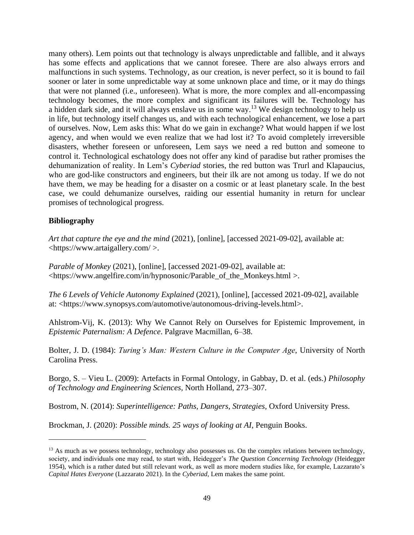many others). Lem points out that technology is always unpredictable and fallible, and it always has some effects and applications that we cannot foresee. There are also always errors and malfunctions in such systems. Technology, as our creation, is never perfect, so it is bound to fail sooner or later in some unpredictable way at some unknown place and time, or it may do things that were not planned (i.e., unforeseen). What is more, the more complex and all-encompassing technology becomes, the more complex and significant its failures will be. Technology has a hidden dark side, and it will always enslave us in some way.<sup>13</sup> We design technology to help us in life, but technology itself changes us, and with each technological enhancement, we lose a part of ourselves. Now, Lem asks this: What do we gain in exchange? What would happen if we lost agency, and when would we even realize that we had lost it? To avoid completely irreversible disasters, whether foreseen or unforeseen, Lem says we need a red button and someone to control it. Technological eschatology does not offer any kind of paradise but rather promises the dehumanization of reality. In Lem's *Cyberiad* stories, the red button was Trurl and Klapaucius, who are god-like constructors and engineers, but their ilk are not among us today. If we do not have them, we may be heading for a disaster on a cosmic or at least planetary scale. In the best case, we could dehumanize ourselves, raiding our essential humanity in return for unclear promises of technological progress.

### **Bibliography**

*Art that capture the eye and the mind* (2021), [online], [accessed 2021-09-02], available at: [<https://www.artaigallery.com/](https://www.artaigallery.com/) >.

*Parable of Monkey* (2021), [online], [accessed 2021-09-02], available at: [<https://www.angelfire.com/in/hypnosonic/Parable\\_of\\_the\\_Monkeys.html](https://www.angelfire.com/in/hypnosonic/Parable_of_the_Monkeys.html) >.

*The 6 Levels of Vehicle Autonomy Explained* (2021), [online], [accessed 2021-09-02], available at: [<https://www.synopsys.com/automotive/autonomous-driving-levels.html>](https://www.synopsys.com/automotive/autonomous-driving-levels.html).

Ahlstrom-Vij, K. (2013): Why We Cannot Rely on Ourselves for Epistemic Improvement, in *Epistemic Paternalism: A Defence*. Palgrave Macmillan, 6–38.

Bolter, J. D. (1984): *Turing's Man: Western Culture in the Computer Age*, University of North Carolina Press.

Borgo, S. – Vieu L. (2009): Artefacts in Formal Ontology, in Gabbay, D. et al. (eds.) *Philosophy of Technology and Engineering Sciences*, North Holland, 273–307.

Bostrom, N. (2014): *Superintelligence: Paths, Dangers, Strategies*, Oxford University Press.

Brockman, J. (2020): *Possible minds. 25 ways of looking at AI*, Penguin Books.

<sup>&</sup>lt;sup>13</sup> As much as we possess technology, technology also possesses us. On the complex relations between technology, society, and individuals one may read, to start with, Heidegger's *The Question Concerning Technology* (Heidegger 1954), which is a rather dated but still relevant work, as well as more modern studies like, for example, Lazzarato's *Capital Hates Everyone* (Lazzarato 2021). In the *Cyberiad*, Lem makes the same point.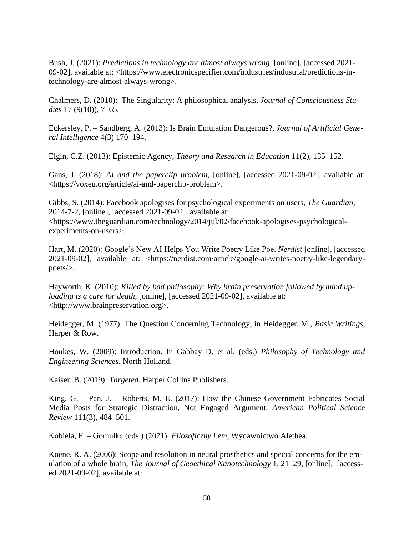Bush, J. (2021): *Predictions in technology are almost always wrong*, [online], [accessed 2021- 09-02], available at: [<https://www.electronicspecifier.com/industries/industrial/predictions-in](https://www.electronicspecifier.com/industries/industrial/predictions-in-technology-are-almost-always-wrong)[technology-are-almost-always-wrong>](https://www.electronicspecifier.com/industries/industrial/predictions-in-technology-are-almost-always-wrong).

Chalmers, D. (2010): The Singularity: A philosophical analysis, *Journal of Consciousness Studies* 17 (9(10)), 7–65.

Eckersley, P. – Sandberg, A. (2013): Is Brain Emulation Dangerous?, *Journal of Artificial General Intelligence* 4(3) 170–194.

Elgin, C.Z. (2013): Epistemic Agency, *Theory and Research in Education* 11(2), 135–152.

Gans, J. (2018): *AI and the paperclip problem*, [online], [accessed 2021-09-02], available at: [<https://voxeu.org/article/ai-and-paperclip-problem>](https://voxeu.org/article/ai-and-paperclip-problem).

Gibbs, S. (2014): Facebook apologises for psychological experiments on users, *The Guardian*, 2014-7-2, [online], [accessed 2021-09-02], available at: [<https://www.theguardian.com/technology/2014/jul/02/facebook-apologises-psychological](https://www.theguardian.com/technology/2014/jul/02/facebook-apologises-psychological-experiments-on-users)[experiments-on-users>](https://www.theguardian.com/technology/2014/jul/02/facebook-apologises-psychological-experiments-on-users).

Hart, M. (2020): Google's New AI Helps You Write Poetry Like Poe. *Nerdist* [online], [accessed 2021-09-02], available at: [<https://nerdist.com/article/google-ai-writes-poetry-like-legendary](https://nerdist.com/article/google-ai-writes-poetry-like-legendary-poets/)[poets/>](https://nerdist.com/article/google-ai-writes-poetry-like-legendary-poets/).

Hayworth, K. (2010): *Killed by bad philosophy: Why brain preservation followed by mind uploading is a cure for death*, [online], [accessed 2021-09-02], available at: [<http://www.brainpreservation.org>](http://www.brainpreservation.org/).

Heidegger, M. (1977): The Question Concerning Technology, in Heidegger, M., *Basic Writings*, Harper & Row.

Houkes, W. (2009): Introduction. In Gabbay D. et al. (eds.) *Philosophy of Technology and Engineering Sciences*, North Holland.

Kaiser. B. (2019): *Targeted*, Harper Collins Publishers.

King, G. – Pan, J. – Roberts, M. E. (2017): How the Chinese Government Fabricates Social Media Posts for Strategic Distraction, Not Engaged Argument. *American Political Science Review* 111(3), 484–501.

Kobiela, F. – Gomułka (eds.) (2021): *Filozoficzny Lem*, Wydawnictwo Alethea.

Koene, R. A. (2006): Scope and resolution in neural prosthetics and special concerns for the emulation of a whole brain, *The Journal of Geoethical Nanotechnology* 1, 21–29, [online], [accessed 2021-09-02], available at: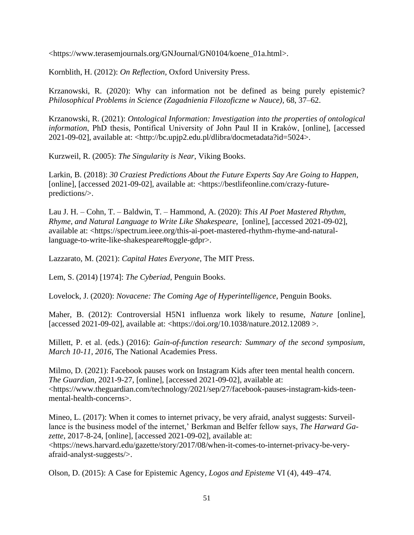[<https://www.terasemjournals.org/GNJournal/GN0104/koene\\_01a.html>](https://www.terasemjournals.org/GNJournal/GN0104/koene_01a.html).

Kornblith, H. (2012): *On Reflection*, Oxford University Press.

Krzanowski, R. (2020): Why can information not be defined as being purely epistemic? *Philosophical Problems in Science (Zagadnienia Filozoficzne w Nauce)*, 68, 37–62.

Krzanowski, R. (2021): *Ontological Information: Investigation into the properties of ontological information*, PhD thesis, Pontifical University of John Paul II in Kraków, [online], [accessed 2021-09-02], available at: [<http://bc.upjp2.edu.pl/dlibra/docmetadata?id=5024>](http://bc.upjp2.edu.pl/dlibra/docmetadata?id=5024).

Kurzweil, R. (2005): *The Singularity is Near*, Viking Books.

Larkin, B. (2018): *30 Craziest Predictions About the Future Experts Say Are Going to Happen*, [online], [accessed 2021-09-02], available at: [<https://bestlifeonline.com/crazy-future](https://bestlifeonline.com/crazy-future-predictions/)[predictions/>](https://bestlifeonline.com/crazy-future-predictions/).

Lau J. H. – Cohn, T. – Baldwin, T. – Hammond, A. (2020): *This AI Poet Mastered Rhythm, Rhyme, and Natural Language to Write Like Shakespeare*, [online], [accessed 2021-09-02], available at: [<https://spectrum.ieee.org/this-ai-poet-mastered-rhythm-rhyme-and-natural](https://spectrum.ieee.org/this-ai-poet-mastered-rhythm-rhyme-and-natural-language-to-write-like-shakespeare#toggle-gdpr)[language-to-write-like-shakespeare#toggle-gdpr>](https://spectrum.ieee.org/this-ai-poet-mastered-rhythm-rhyme-and-natural-language-to-write-like-shakespeare#toggle-gdpr).

Lazzarato, M. (2021): *Capital Hates Everyone*, The MIT Press.

Lem, S. (2014) [1974]: *The Cyberiad*, Penguin Books.

Lovelock, J. (2020): *Novacene: The Coming Age of Hyperintelligence*, Penguin Books.

Maher, B. (2012): Controversial H5N1 influenza work likely to resume, *Nature* [online], [accessed 2021-09-02], available at: [<https://doi.org/10.1038/nature.2012.12089](https://doi.org/10.1038/nature.2012.12089) >.

Millett, P. et al. (eds.) (2016): *Gain-of-function research: Summary of the second symposium, March 10-11, 2016*, The National Academies Press.

Milmo, D. (2021): Facebook pauses work on Instagram Kids after teen mental health concern. *The Guardian*, 2021-9-27, [online], [accessed 2021-09-02], available at: [<https://www.theguardian.com/technology/2021/sep/27/facebook-pauses-instagram-kids-teen](https://www.theguardian.com/technology/2021/sep/27/facebook-pauses-instagram-kids-teen-mental-health-concerns)[mental-health-concerns>](https://www.theguardian.com/technology/2021/sep/27/facebook-pauses-instagram-kids-teen-mental-health-concerns).

Mineo, L. (2017): When it comes to internet privacy, be very afraid, analyst suggests: Surveillance is the business model of the internet,' Berkman and Belfer fellow says, *The Harward Gazette*, 2017-8-24, [online], [accessed 2021-09-02], available at: [<https://news.harvard.edu/gazette/story/2017/08/when-it-comes-to-internet-privacy-be-very](https://news.harvard.edu/gazette/story/2017/08/when-it-comes-to-internet-privacy-be-very-afraid-analyst-suggests/)[afraid-analyst-suggests/>](https://news.harvard.edu/gazette/story/2017/08/when-it-comes-to-internet-privacy-be-very-afraid-analyst-suggests/).

Olson, D. (2015): A Case for Epistemic Agency, *Logos and Episteme* VI (4), 449–474.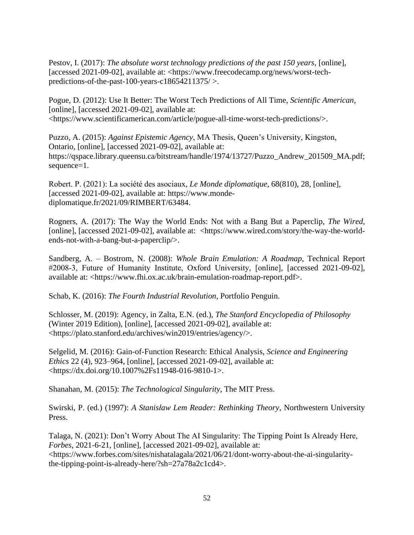Pestov, I. (2017): *The absolute worst technology predictions of the past 150 years,* [online], [accessed 2021-09-02], available at: [<https://www.freecodecamp.org/news/worst-tech](https://www.freecodecamp.org/news/worst-tech-predictions-of-the-past-100-years-c18654211375/)[predictions-of-the-past-100-years-c18654211375/](https://www.freecodecamp.org/news/worst-tech-predictions-of-the-past-100-years-c18654211375/) >.

Pogue, D. (2012): Use It Better: The Worst Tech Predictions of All Time, *Scientific American,* [online], [accessed 2021-09-02], available at: [<https://www.scientificamerican.com/article/pogue-all-time-worst-tech-predictions/>](https://www.scientificamerican.com/article/pogue-all-time-worst-tech-predictions/).

Puzzo, A. (2015): *Against Epistemic Agency*, MA Thesis, Queen's University, Kingston, Ontario, [online], [accessed 2021-09-02], available at: [https://qspace.library.queensu.ca/bitstream/handle/1974/13727/Puzzo\\_Andrew\\_201509\\_MA.pdf;](https://qspace.library.queensu.ca/bitstream/handle/1974/13727/Puzzo_Andrew_201509_MA.pdf;sequence=1) [sequence=1.](https://qspace.library.queensu.ca/bitstream/handle/1974/13727/Puzzo_Andrew_201509_MA.pdf;sequence=1)

Robert. P. (2021): La société des asociaux, *Le Monde diplomatique*, 68(810), 28, [online], [accessed 2021-09-02], available at: [https://www.monde](https://www.monde-diplomatique.fr/2021/09/RIMBERT/63484)[diplomatique.fr/2021/09/RIMBERT/63484.](https://www.monde-diplomatique.fr/2021/09/RIMBERT/63484)

Rogners, A. (2017): The Way the World Ends: Not with a Bang But a Paperclip, *The Wired*, [online], [accessed 2021-09-02], available at: [<https://www.wired.com/story/the-way-the-world](https://www.wired.com/story/the-way-the-world-ends-not-with-a-bang-but-a-paperclip/)[ends-not-with-a-bang-but-a-paperclip/>](https://www.wired.com/story/the-way-the-world-ends-not-with-a-bang-but-a-paperclip/).

Sandberg, A. – Bostrom, N. (2008): *Whole Brain Emulation: A Roadmap*, Technical Report #2008‐3, Future of Humanity Institute, Oxford University, [online], [accessed 2021-09-02], available at: [<https://www.fhi.ox.ac.uk/brain-emulation-roadmap-report.pdf>](https://www.fhi.ox.ac.uk/brain-emulation-roadmap-report.pdf).

Schab, K. (2016): *The Fourth Industrial Revolution*, Portfolio Penguin.

Schlosser, M. (2019): Agency, in Zalta, E.N. (ed.), *The Stanford Encyclopedia of Philosophy*  (Winter 2019 Edition), [online], [accessed 2021-09-02], available at: [<https://plato.stanford.edu/archives/win2019/entries/agency/>](https://plato.stanford.edu/archives/win2019/entries/agency/).

Selgelid, M. (2016): Gain-of-Function Research: Ethical Analysis, *Science and Engineering Ethics* 22 (4), 923–964, [online], [accessed 2021-09-02], available at: [<https://dx.doi.org/10.1007%2Fs11948-016-9810-1>](https://dx.doi.org/10.1007%2Fs11948-016-9810-1).

Shanahan, M. (2015): *The Technological Singularity*, The MIT Press.

Swirski, P. (ed.) (1997): *A Stanisław Lem Reader: Rethinking Theory*, Northwestern University Press.

Talaga, N. (2021): Don't Worry About The AI Singularity: The Tipping Point Is Already Here, *Forbes*, 2021-6-21, [online], [accessed 2021-09-02], available at: [<https://www.forbes.com/sites/nishatalagala/2021/06/21/dont-worry-about-the-ai-singularity](https://www.forbes.com/sites/nishatalagala/2021/06/21/dont-worry-about-the-ai-singularity-the-tipping-point-is-already-here/?sh=27a78a2c1cd4)[the-tipping-point-is-already-here/?sh=27a78a2c1cd4>](https://www.forbes.com/sites/nishatalagala/2021/06/21/dont-worry-about-the-ai-singularity-the-tipping-point-is-already-here/?sh=27a78a2c1cd4).